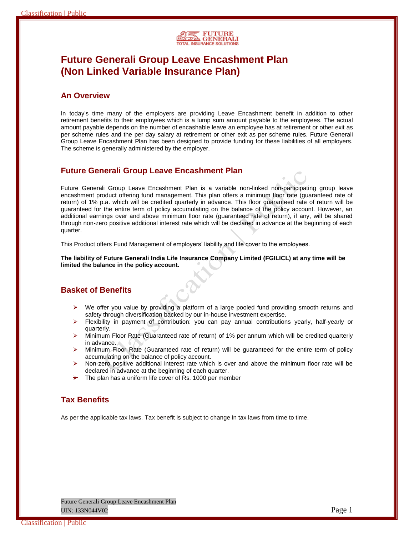

# **Future Generali Group Leave Encashment Plan (Non Linked Variable Insurance Plan)**

# **An Overview**

In today's time many of the employers are providing Leave Encashment benefit in addition to other retirement benefits to their employees which is a lump sum amount payable to the employees. The actual amount payable depends on the number of encashable leave an employee has at retirement or other exit as per scheme rules and the per day salary at retirement or other exit as per scheme rules. Future Generali Group Leave Encashment Plan has been designed to provide funding for these liabilities of all employers. The scheme is generally administered by the employer.

# **Future Generali Group Leave Encashment Plan**

Future Generali Group Leave Encashment Plan is a variable non-linked non-participating group leave encashment product offering fund management. This plan offers a minimum floor rate (guaranteed rate of return) of 1% p.a. which will be credited quarterly in advance. This floor guaranteed rate of return will be guaranteed for the entire term of policy accumulating on the balance of the policy account. However, an additional earnings over and above minimum floor rate (guaranteed rate of return), if any, will be shared through non-zero positive additional interest rate which will be declared in advance at the beginning of each quarter.

This Product offers Fund Management of employers' liability and life cover to the employees.

**The liability of Future Generali India Life Insurance Company Limited (FGILICL) at any time will be limited the balance in the policy account.**

# **Basket of Benefits**

- $\triangleright$  We offer you value by providing a platform of a large pooled fund providing smooth returns and safety through diversification backed by our in-house investment expertise.
- $\triangleright$  Flexibility in payment of contribution: you can pay annual contributions yearly, half-yearly or quarterly.
- $\triangleright$  Minimum Floor Rate (Guaranteed rate of return) of 1% per annum which will be credited quarterly in advance.
- Minimum Floor Rate (Guaranteed rate of return) will be guaranteed for the entire term of policy accumulating on the balance of policy account.
- $\triangleright$  Non-zero positive additional interest rate which is over and above the minimum floor rate will be declared in advance at the beginning of each quarter.
- $\rightarrow$  The plan has a uniform life cover of Rs. 1000 per member

# **Tax Benefits**

As per the applicable tax laws. Tax benefit is subject to change in tax laws from time to time.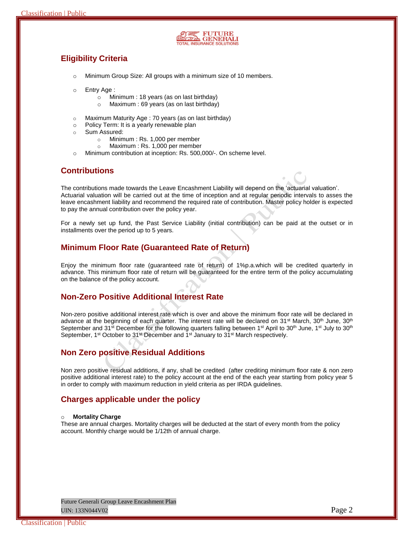

# **Eligibility Criteria**

- o Minimum Group Size: All groups with a minimum size of 10 members.
- o Entry Age :
	- o Minimum : 18 years (as on last birthday)
	- o Maximum : 69 years (as on last birthday)
- o Maximum Maturity Age : 70 years (as on last birthday)
- o Policy Term: It is a yearly renewable plan
- o Sum Assured:
	- o Minimum : Rs. 1,000 per member
	- o Maximum : Rs. 1,000 per member
- o Minimum contribution at inception: Rs. 500,000/-. On scheme level.

### **Contributions**

The contributions made towards the Leave Encashment Liability will depend on the 'actuarial valuation'. Actuarial valuation will be carried out at the time of inception and at regular periodic intervals to asses the leave encashment liability and recommend the required rate of contribution. Master policy holder is expected to pay the annual contribution over the policy year.

For a newly set up fund, the Past Service Liability (initial contribution) can be paid at the outset or in installments over the period up to 5 years.

### **Minimum Floor Rate (Guaranteed Rate of Return)**

Enjoy the minimum floor rate (guaranteed rate of return) of 1%p.a.which will be credited quarterly in advance. This minimum floor rate of return will be guaranteed for the entire term of the policy accumulating on the balance of the policy account.

### **Non-Zero Positive Additional Interest Rate**

Non-zero positive additional interest rate which is over and above the minimum floor rate will be declared in advance at the beginning of each quarter. The interest rate will be declared on 31<sup>st</sup> March, 30<sup>th</sup> June, 30<sup>th</sup> September and 31<sup>st</sup> December for the following quarters falling between 1<sup>st</sup> April to 30<sup>th</sup> June, 1<sup>st</sup> July to 30<sup>th</sup> September, 1<sup>st</sup> October to 31<sup>st</sup> December and 1<sup>st</sup> January to 31<sup>st</sup> March respectively.

# **Non Zero positive Residual Additions**

Non zero positive residual additions, if any, shall be credited (after crediting minimum floor rate & non zero positive additional interest rate) to the policy account at the end of the each year starting from policy year 5 in order to comply with maximum reduction in yield criteria as per IRDA guidelines.

### **Charges applicable under the policy**

#### o **Mortality Charge**

These are annual charges. Mortality charges will be deducted at the start of every month from the policy account. Monthly charge would be 1/12th of annual charge.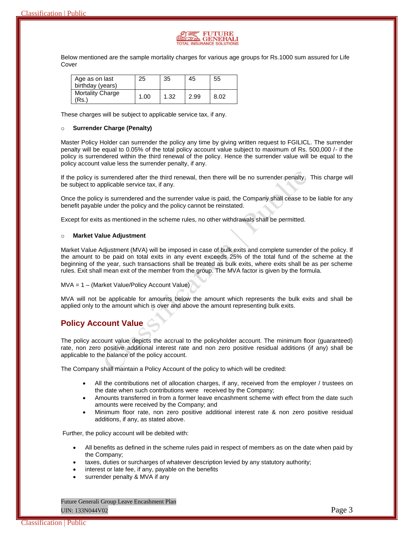

Below mentioned are the sample mortality charges for various age groups for Rs.1000 sum assured for Life Cover

| Age as on last<br>birthday (years) | 25   | 35   | 45   | 55   |
|------------------------------------|------|------|------|------|
| <b>Mortality Charge</b><br>Rs.)    | 1.00 | 1.32 | 2.99 | 8.02 |

These charges will be subject to applicable service tax, if any.

#### o **Surrender Charge (Penalty)**

Master Policy Holder can surrender the policy any time by giving written request to FGILICL. The surrender penalty will be equal to 0.05% of the total policy account value subject to maximum of Rs. 500,000 /- if the policy is surrendered within the third renewal of the policy. Hence the surrender value will be equal to the policy account value less the surrender penalty, if any.

If the policy is surrendered after the third renewal, then there will be no surrender penalty. This charge will be subject to applicable service tax, if any.

Once the policy is surrendered and the surrender value is paid, the Company shall cease to be liable for any benefit payable under the policy and the policy cannot be reinstated.

Except for exits as mentioned in the scheme rules, no other withdrawals shall be permitted.

#### o **Market Value Adjustment**

Market Value Adjustment (MVA) will be imposed in case of bulk exits and complete surrender of the policy. If the amount to be paid on total exits in any event exceeds 25% of the total fund of the scheme at the beginning of the year, such transactions shall be treated as bulk exits, where exits shall be as per scheme rules. Exit shall mean exit of the member from the group. The MVA factor is given by the formula.

#### MVA = 1 – (Market Value/Policy Account Value)

MVA will not be applicable for amounts below the amount which represents the bulk exits and shall be applied only to the amount which is over and above the amount representing bulk exits.

# **Policy Account Value**

The policy account value depicts the accrual to the policyholder account. The minimum floor (guaranteed) rate, non zero positive additional interest rate and non zero positive residual additions (if any) shall be applicable to the balance of the policy account.

The Company shall maintain a Policy Account of the policy to which will be credited:

- All the contributions net of allocation charges, if any, received from the employer / trustees on the date when such contributions were received by the Company;
- Amounts transferred in from a former leave encashment scheme with effect from the date such amounts were received by the Company; and
- Minimum floor rate, non zero positive additional interest rate & non zero positive residual additions, if any, as stated above.

Further, the policy account will be debited with:

- All benefits as defined in the scheme rules paid in respect of members as on the date when paid by the Company;
- taxes, duties or surcharges of whatever description levied by any statutory authority;
- interest or late fee, if any, payable on the benefits
- surrender penalty & MVA if any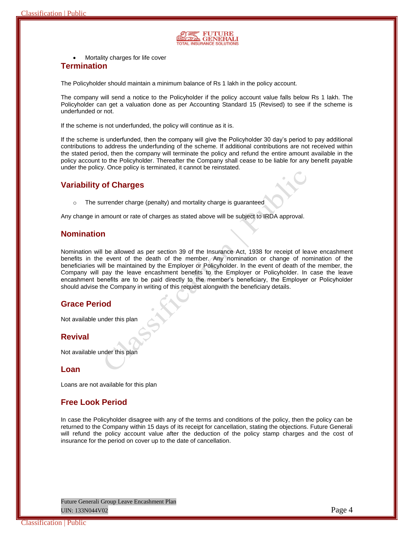

Mortality charges for life cover

### **Termination**

The Policyholder should maintain a minimum balance of Rs 1 lakh in the policy account.

The company will send a notice to the Policyholder if the policy account value falls below Rs 1 lakh. The Policyholder can get a valuation done as per Accounting Standard 15 (Revised) to see if the scheme is underfunded or not.

If the scheme is not underfunded, the policy will continue as it is.

If the scheme is underfunded, then the company will give the Policyholder 30 day's period to pay additional contributions to address the underfunding of the scheme. If additional contributions are not received within the stated period, then the company will terminate the policy and refund the entire amount available in the policy account to the Policyholder. Thereafter the Company shall cease to be liable for any benefit payable under the policy. Once policy is terminated, it cannot be reinstated.

### **Variability of Charges**

o The surrender charge (penalty) and mortality charge is guaranteed

Any change in amount or rate of charges as stated above will be subject to IRDA approval.

### **Nomination**

Nomination will be allowed as per section 39 of the Insurance Act, 1938 for receipt of leave encashment benefits in the event of the death of the member. Any nomination or change of nomination of the beneficiaries will be maintained by the Employer or Policyholder. In the event of death of the member, the Company will pay the leave encashment benefits to the Employer or Policyholder. In case the leave encashment benefits are to be paid directly to the member's beneficiary, the Employer or Policyholder should advise the Company in writing of this request alongwith the beneficiary details.

# **Grace Period**

Not available under this plan

# **Revival**

Not available under this plan

### **Loan**

Loans are not available for this plan

# **Free Look Period**

In case the Policyholder disagree with any of the terms and conditions of the policy, then the policy can be returned to the Company within 15 days of its receipt for cancellation, stating the objections. Future Generali will refund the policy account value after the deduction of the policy stamp charges and the cost of insurance for the period on cover up to the date of cancellation.